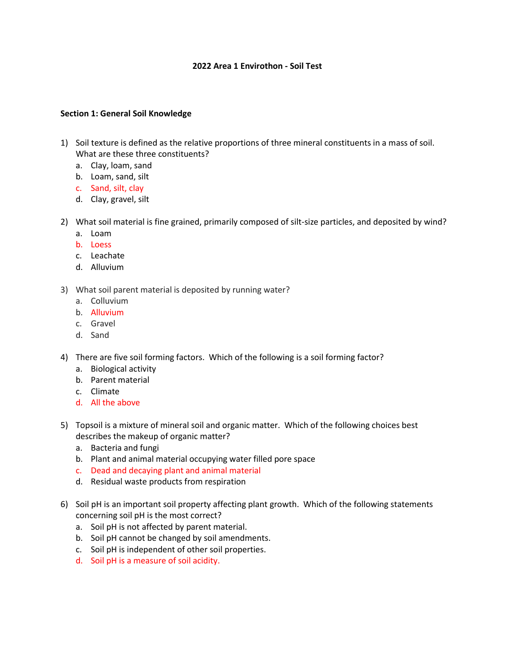## **2022 Area 1 Envirothon - Soil Test**

## **Section 1: General Soil Knowledge**

- 1) Soil texture is defined as the relative proportions of three mineral constituents in a mass of soil. What are these three constituents?
	- a. Clay, loam, sand
	- b. Loam, sand, silt
	- c. Sand, silt, clay
	- d. Clay, gravel, silt
- 2) What soil material is fine grained, primarily composed of silt-size particles, and deposited by wind?
	- a. Loam
	- b. Loess
	- c. Leachate
	- d. Alluvium
- 3) What soil parent material is deposited by running water?
	- a. Colluvium
	- b. Alluvium
	- c. Gravel
	- d. Sand
- 4) There are five soil forming factors. Which of the following is a soil forming factor?
	- a. Biological activity
	- b. Parent material
	- c. Climate
	- d. All the above
- 5) Topsoil is a mixture of mineral soil and organic matter. Which of the following choices best describes the makeup of organic matter?
	- a. Bacteria and fungi
	- b. Plant and animal material occupying water filled pore space
	- c. Dead and decaying plant and animal material
	- d. Residual waste products from respiration
- 6) Soil pH is an important soil property affecting plant growth. Which of the following statements concerning soil pH is the most correct?
	- a. Soil pH is not affected by parent material.
	- b. Soil pH cannot be changed by soil amendments.
	- c. Soil pH is independent of other soil properties.
	- d. Soil pH is a measure of soil acidity.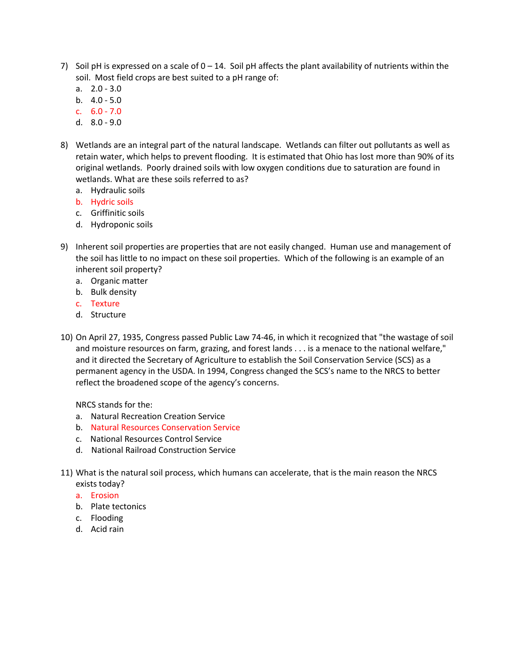- 7) Soil pH is expressed on a scale of  $0 14$ . Soil pH affects the plant availability of nutrients within the soil. Most field crops are best suited to a pH range of:
	- a. 2.0 3.0
	- b.  $4.0 5.0$
	- c. 6.0 7.0
	- d. 8.0 9.0
- 8) Wetlands are an integral part of the natural landscape. Wetlands can filter out pollutants as well as retain water, which helps to prevent flooding. It is estimated that Ohio has lost more than 90% of its original wetlands. Poorly drained soils with low oxygen conditions due to saturation are found in wetlands. What are these soils referred to as?
	- a. Hydraulic soils
	- b. Hydric soils
	- c. Griffinitic soils
	- d. Hydroponic soils
- 9) Inherent soil properties are properties that are not easily changed. Human use and management of the soil has little to no impact on these soil properties. Which of the following is an example of an inherent soil property?
	- a. Organic matter
	- b. Bulk density
	- c. Texture
	- d. Structure
- 10) On April 27, 1935, Congress passed Public Law 74-46, in which it recognized that "the wastage of soil and moisture resources on farm, grazing, and forest lands . . . is a menace to the national welfare," and it directed the Secretary of Agriculture to establish the Soil Conservation Service (SCS) as a permanent agency in the USDA. In 1994, Congress changed the SCS's name to the NRCS to better reflect the broadened scope of the agency's concerns.

NRCS stands for the:

- a. Natural Recreation Creation Service
- b. Natural Resources Conservation Service
- c. National Resources Control Service
- d. National Railroad Construction Service
- 11) What is the natural soil process, which humans can accelerate, that is the main reason the NRCS exists today?
	- a. Erosion
	- b. Plate tectonics
	- c. Flooding
	- d. Acid rain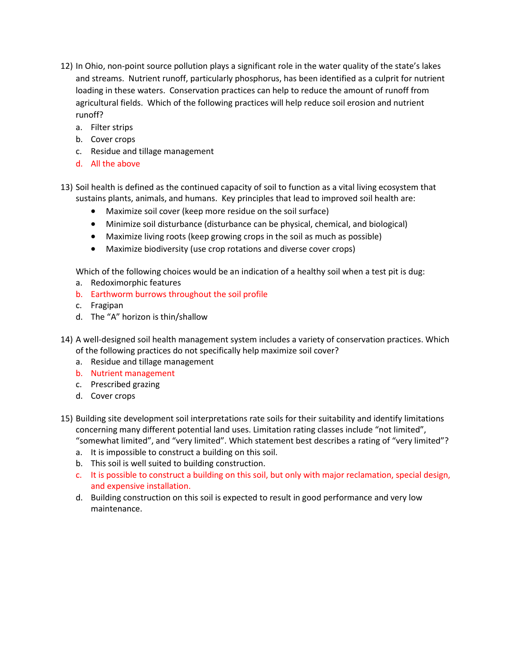- 12) In Ohio, non-point source pollution plays a significant role in the water quality of the state's lakes and streams. Nutrient runoff, particularly phosphorus, has been identified as a culprit for nutrient loading in these waters. Conservation practices can help to reduce the amount of runoff from agricultural fields. Which of the following practices will help reduce soil erosion and nutrient runoff?
	- a. Filter strips
	- b. Cover crops
	- c. Residue and tillage management
	- d. All the above
- 13) Soil health is defined as the continued capacity of soil to function as a vital living ecosystem that sustains plants, animals, and humans. Key principles that lead to improved soil health are:
	- Maximize soil cover (keep more residue on the soil surface)
	- Minimize soil disturbance (disturbance can be physical, chemical, and biological)
	- Maximize living roots (keep growing crops in the soil as much as possible)
	- Maximize biodiversity (use crop rotations and diverse cover crops)

Which of the following choices would be an indication of a healthy soil when a test pit is dug:

- a. Redoximorphic features
- b. Earthworm burrows throughout the soil profile
- c. Fragipan
- d. The "A" horizon is thin/shallow
- 14) A well-designed soil health management system includes a variety of conservation practices. Which of the following practices do not specifically help maximize soil cover?
	- a. Residue and tillage management
	- b. Nutrient management
	- c. Prescribed grazing
	- d. Cover crops
- 15) Building site development soil interpretations rate soils for their suitability and identify limitations concerning many different potential land uses. Limitation rating classes include "not limited", "somewhat limited", and "very limited". Which statement best describes a rating of "very limited"?
	- a. It is impossible to construct a building on this soil.
	- b. This soil is well suited to building construction.
	- c. It is possible to construct a building on this soil, but only with major reclamation, special design, and expensive installation.
	- d. Building construction on this soil is expected to result in good performance and very low maintenance.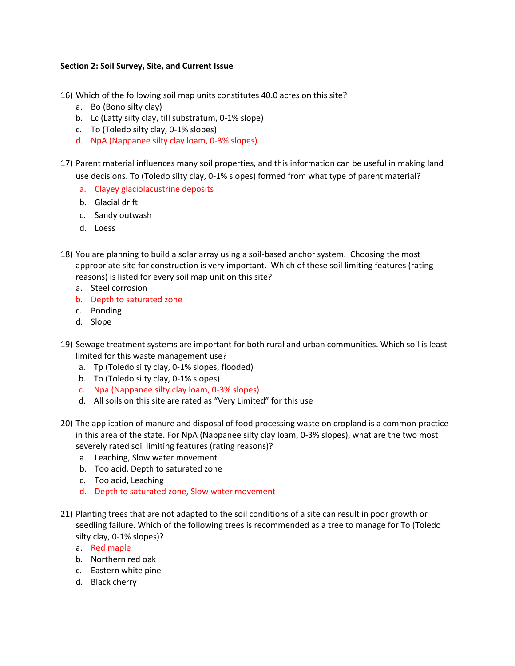## **Section 2: Soil Survey, Site, and Current Issue**

16) Which of the following soil map units constitutes 40.0 acres on this site?

- a. Bo (Bono silty clay)
- b. Lc (Latty silty clay, till substratum, 0-1% slope)
- c. To (Toledo silty clay, 0-1% slopes)
- d. NpA (Nappanee silty clay loam, 0-3% slopes)
- 17) Parent material influences many soil properties, and this information can be useful in making land use decisions. To (Toledo silty clay, 0-1% slopes) formed from what type of parent material?
	- a. Clayey glaciolacustrine deposits
	- b. Glacial drift
	- c. Sandy outwash
	- d. Loess
- 18) You are planning to build a solar array using a soil-based anchor system. Choosing the most appropriate site for construction is very important. Which of these soil limiting features (rating reasons) is listed for every soil map unit on this site?
	- a. Steel corrosion
	- b. Depth to saturated zone
	- c. Ponding
	- d. Slope
- 19) Sewage treatment systems are important for both rural and urban communities. Which soil is least limited for this waste management use?
	- a. Tp (Toledo silty clay, 0-1% slopes, flooded)
	- b. To (Toledo silty clay, 0-1% slopes)
	- c. Npa (Nappanee silty clay loam, 0-3% slopes)
	- d. All soils on this site are rated as "Very Limited" for this use
- 20) The application of manure and disposal of food processing waste on cropland is a common practice in this area of the state. For NpA (Nappanee silty clay loam, 0-3% slopes), what are the two most severely rated soil limiting features (rating reasons)?
	- a. Leaching, Slow water movement
	- b. Too acid, Depth to saturated zone
	- c. Too acid, Leaching
	- d. Depth to saturated zone, Slow water movement
- 21) Planting trees that are not adapted to the soil conditions of a site can result in poor growth or seedling failure. Which of the following trees is recommended as a tree to manage for To (Toledo silty clay, 0-1% slopes)?
	- a. Red maple
	- b. Northern red oak
	- c. Eastern white pine
	- d. Black cherry